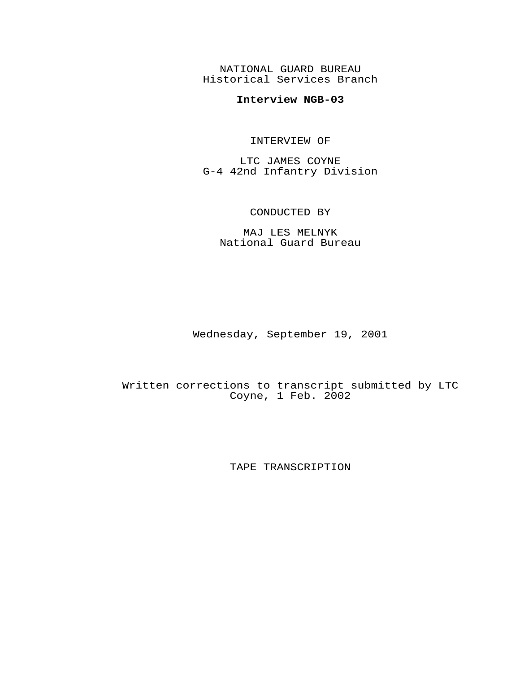NATIONAL GUARD BUREAU Historical Services Branch

## **Interview NGB-03**

## INTERVIEW OF

LTC JAMES COYNE G-4 42nd Infantry Division

## CONDUCTED BY

MAJ LES MELNYK National Guard Bureau

Wednesday, September 19, 2001

Written corrections to transcript submitted by LTC Coyne, 1 Feb. 2002

TAPE TRANSCRIPTION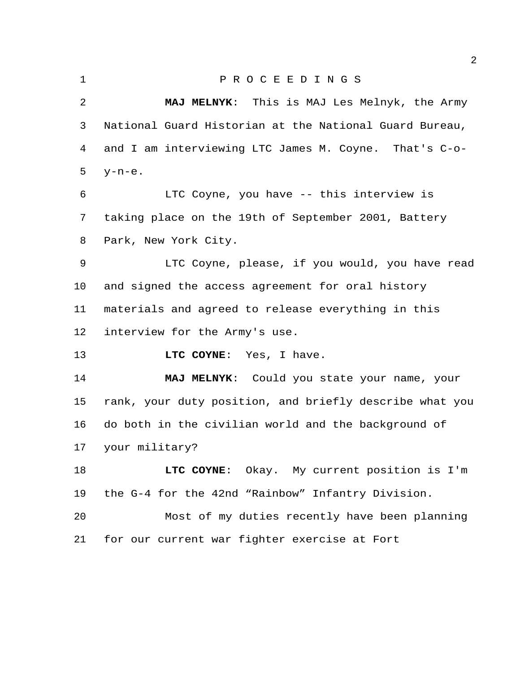## P R O C E E D I N G S

 **MAJ MELNYK**: This is MAJ Les Melnyk, the Army National Guard Historian at the National Guard Bureau, and I am interviewing LTC James M. Coyne. That's C-o- y-n-e. LTC Coyne, you have -- this interview is taking place on the 19th of September 2001, Battery Park, New York City. LTC Coyne, please, if you would, you have read and signed the access agreement for oral history materials and agreed to release everything in this interview for the Army's use. **LTC COYNE**: Yes, I have. **MAJ MELNYK**: Could you state your name, your rank, your duty position, and briefly describe what you do both in the civilian world and the background of your military? **LTC COYNE**: Okay. My current position is I'm the G-4 for the 42nd "Rainbow" Infantry Division. Most of my duties recently have been planning

for our current war fighter exercise at Fort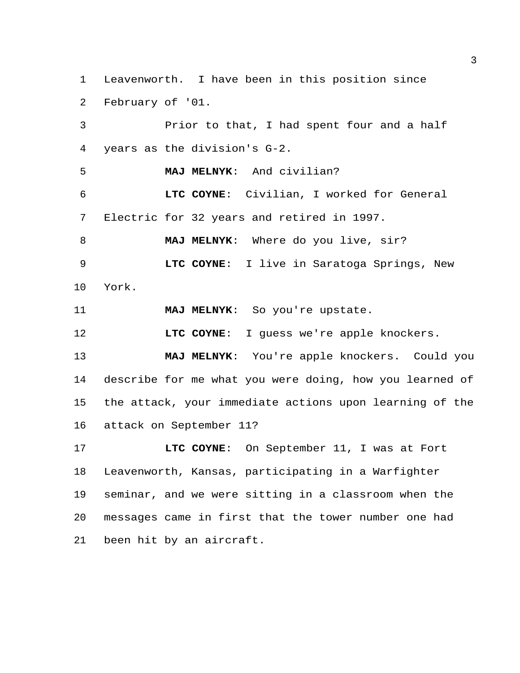Leavenworth. I have been in this position since February of '01.

 Prior to that, I had spent four and a half years as the division's G-2. **MAJ MELNYK**: And civilian? **LTC COYNE**: Civilian, I worked for General Electric for 32 years and retired in 1997. **MAJ MELNYK**: Where do you live, sir? **LTC COYNE**: I live in Saratoga Springs, New York. **MAJ MELNYK**: So you're upstate. **LTC COYNE:** I guess we're apple knockers. **MAJ MELNYK**: You're apple knockers. Could you describe for me what you were doing, how you learned of the attack, your immediate actions upon learning of the attack on September 11?

 **LTC COYNE**: On September 11, I was at Fort Leavenworth, Kansas, participating in a Warfighter seminar, and we were sitting in a classroom when the messages came in first that the tower number one had been hit by an aircraft.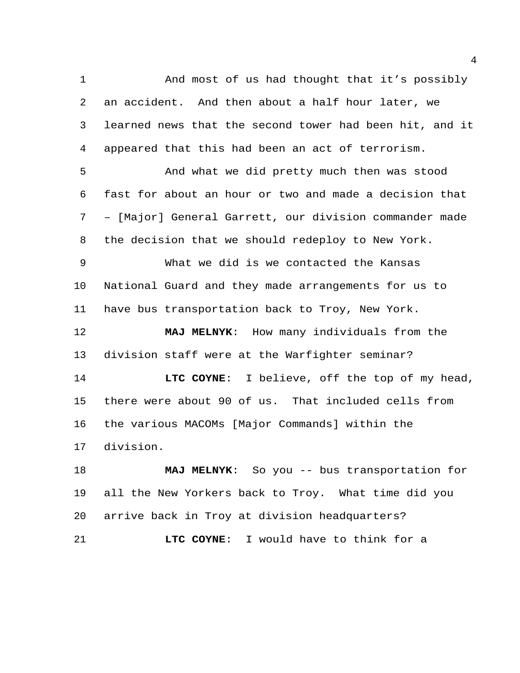And most of us had thought that it's possibly an accident. And then about a half hour later, we learned news that the second tower had been hit, and it appeared that this had been an act of terrorism.

 And what we did pretty much then was stood fast for about an hour or two and made a decision that – [Major] General Garrett, our division commander made the decision that we should redeploy to New York.

 What we did is we contacted the Kansas National Guard and they made arrangements for us to have bus transportation back to Troy, New York.

 **MAJ MELNYK**: How many individuals from the division staff were at the Warfighter seminar?

 **LTC COYNE**: I believe, off the top of my head, there were about 90 of us. That included cells from the various MACOMs [Major Commands] within the division.

 **MAJ MELNYK**: So you -- bus transportation for all the New Yorkers back to Troy. What time did you arrive back in Troy at division headquarters? **LTC COYNE**: I would have to think for a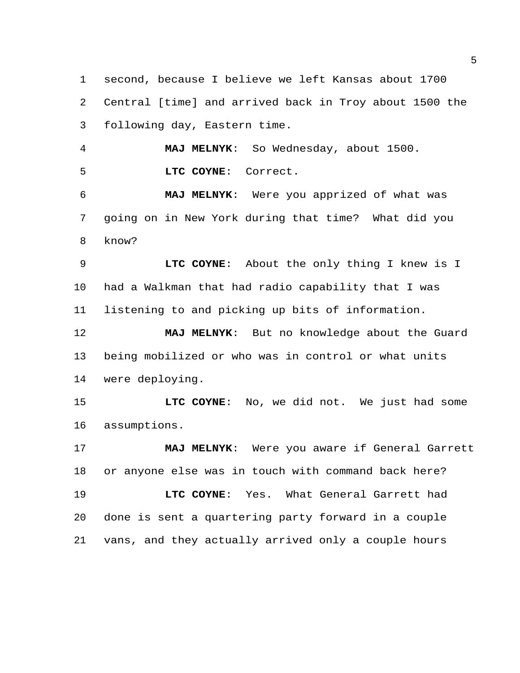second, because I believe we left Kansas about 1700 Central [time] and arrived back in Troy about 1500 the following day, Eastern time.

 **MAJ MELNYK**: So Wednesday, about 1500. **LTC COYNE**: Correct.

 **MAJ MELNYK**: Were you apprized of what was going on in New York during that time? What did you know?

 **LTC COYNE**: About the only thing I knew is I had a Walkman that had radio capability that I was listening to and picking up bits of information.

 **MAJ MELNYK**: But no knowledge about the Guard being mobilized or who was in control or what units were deploying.

 **LTC COYNE**: No, we did not. We just had some assumptions.

 **MAJ MELNYK**: Were you aware if General Garrett or anyone else was in touch with command back here? **LTC COYNE**: Yes. What General Garrett had done is sent a quartering party forward in a couple vans, and they actually arrived only a couple hours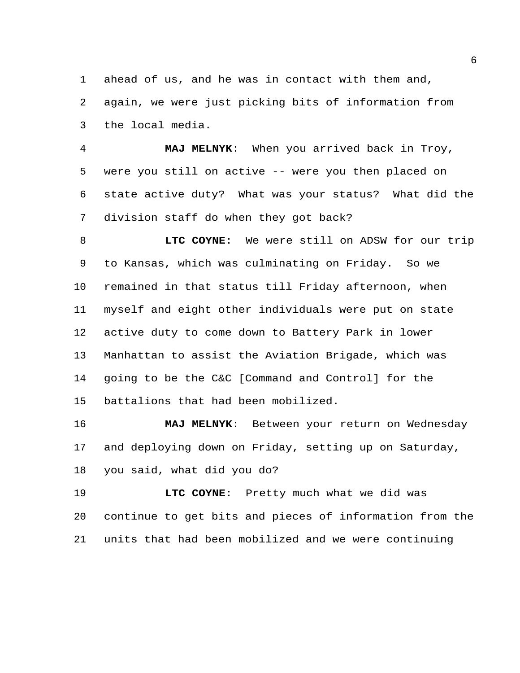ahead of us, and he was in contact with them and,

 again, we were just picking bits of information from the local media.

 **MAJ MELNYK**: When you arrived back in Troy, were you still on active -- were you then placed on state active duty? What was your status? What did the division staff do when they got back?

 **LTC COYNE**: We were still on ADSW for our trip to Kansas, which was culminating on Friday. So we remained in that status till Friday afternoon, when myself and eight other individuals were put on state active duty to come down to Battery Park in lower Manhattan to assist the Aviation Brigade, which was going to be the C&C [Command and Control] for the battalions that had been mobilized.

 **MAJ MELNYK**: Between your return on Wednesday and deploying down on Friday, setting up on Saturday, you said, what did you do?

 **LTC COYNE**: Pretty much what we did was continue to get bits and pieces of information from the units that had been mobilized and we were continuing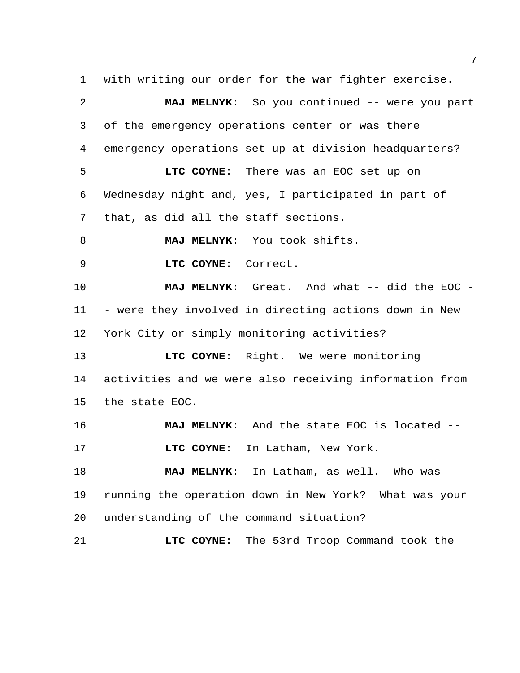with writing our order for the war fighter exercise.

| 2       | MAJ MELNYK: So you continued -- were you part          |
|---------|--------------------------------------------------------|
| 3       | of the emergency operations center or was there        |
| 4       | emergency operations set up at division headquarters?  |
| 5       | LTC COYNE: There was an EOC set up on                  |
| 6       | Wednesday night and, yes, I participated in part of    |
| 7       | that, as did all the staff sections.                   |
| 8       | MAJ MELNYK: You took shifts.                           |
| 9       | LTC COYNE: Correct.                                    |
| 10      | MAJ MELNYK: Great. And what -- did the EOC -           |
| 11      | - were they involved in directing actions down in New  |
| $12 \,$ | York City or simply monitoring activities?             |
| 13      | LTC COYNE: Right. We were monitoring                   |
| 14      | activities and we were also receiving information from |
| 15      | the state EOC.                                         |
| 16      | MAJ MELNYK: And the state EOC is located --            |
| 17      | In Latham, New York.<br>LTC COYNE:                     |
| 18      | MAJ MELNYK: In Latham, as well. Who was                |
| 19      | running the operation down in New York? What was your  |
| 20      | understanding of the command situation?                |
| 21      | The 53rd Troop Command took the<br>LTC COYNE:          |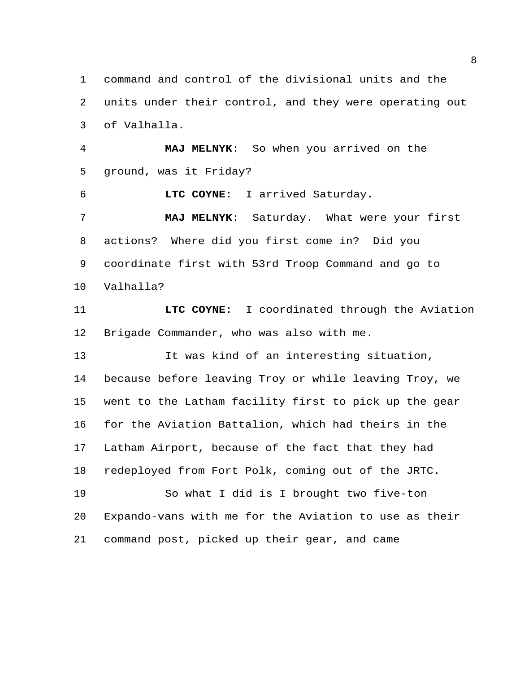command and control of the divisional units and the units under their control, and they were operating out of Valhalla.

 **MAJ MELNYK**: So when you arrived on the ground, was it Friday?

**LTC COYNE**: I arrived Saturday.

 **MAJ MELNYK**: Saturday. What were your first actions? Where did you first come in? Did you coordinate first with 53rd Troop Command and go to Valhalla?

 **LTC COYNE**: I coordinated through the Aviation Brigade Commander, who was also with me.

 It was kind of an interesting situation, because before leaving Troy or while leaving Troy, we went to the Latham facility first to pick up the gear for the Aviation Battalion, which had theirs in the Latham Airport, because of the fact that they had redeployed from Fort Polk, coming out of the JRTC. So what I did is I brought two five-ton Expando-vans with me for the Aviation to use as their

command post, picked up their gear, and came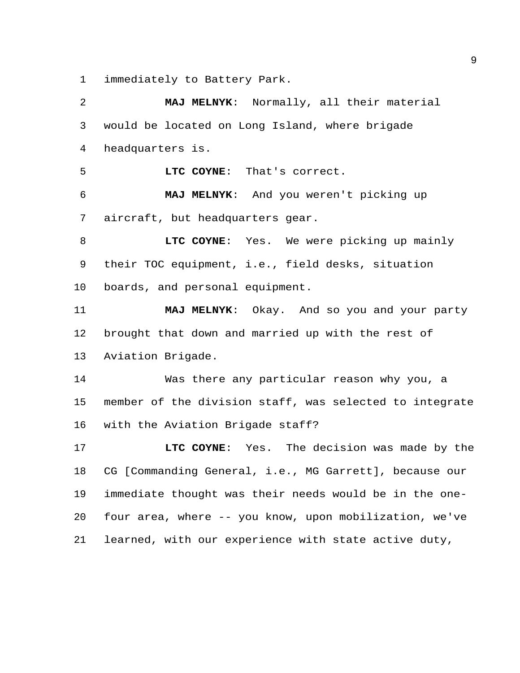immediately to Battery Park.

 **MAJ MELNYK**: Normally, all their material would be located on Long Island, where brigade headquarters is. **LTC COYNE**: That's correct. **MAJ MELNYK**: And you weren't picking up aircraft, but headquarters gear. **LTC COYNE**: Yes. We were picking up mainly their TOC equipment, i.e., field desks, situation boards, and personal equipment. **MAJ MELNYK**: Okay. And so you and your party brought that down and married up with the rest of Aviation Brigade. Was there any particular reason why you, a member of the division staff, was selected to integrate with the Aviation Brigade staff? **LTC COYNE**: Yes. The decision was made by the CG [Commanding General, i.e., MG Garrett], because our immediate thought was their needs would be in the one- four area, where -- you know, upon mobilization, we've learned, with our experience with state active duty,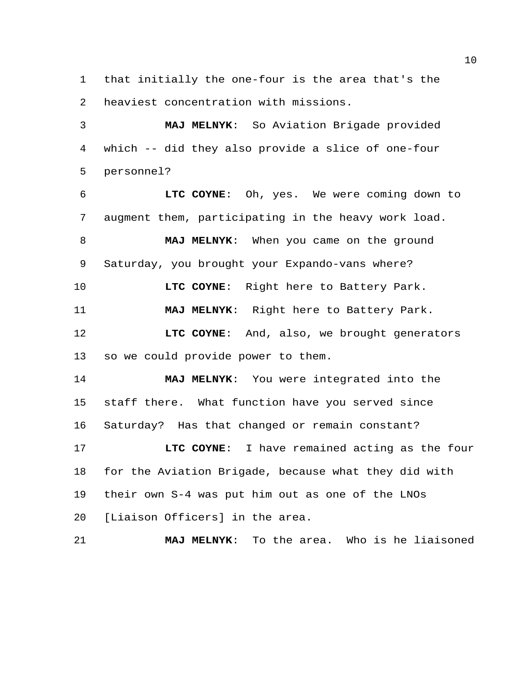that initially the one-four is the area that's the heaviest concentration with missions.

 **MAJ MELNYK**: So Aviation Brigade provided which -- did they also provide a slice of one-four personnel?

 **LTC COYNE**: Oh, yes. We were coming down to augment them, participating in the heavy work load.

 **MAJ MELNYK**: When you came on the ground Saturday, you brought your Expando-vans where?

**LTC COYNE**: Right here to Battery Park.

**MAJ MELNYK**: Right here to Battery Park.

 **LTC COYNE**: And, also, we brought generators so we could provide power to them.

 **MAJ MELNYK**: You were integrated into the staff there. What function have you served since Saturday? Has that changed or remain constant?

 **LTC COYNE**: I have remained acting as the four for the Aviation Brigade, because what they did with their own S-4 was put him out as one of the LNOs [Liaison Officers] in the area.

**MAJ MELNYK**: To the area. Who is he liaisoned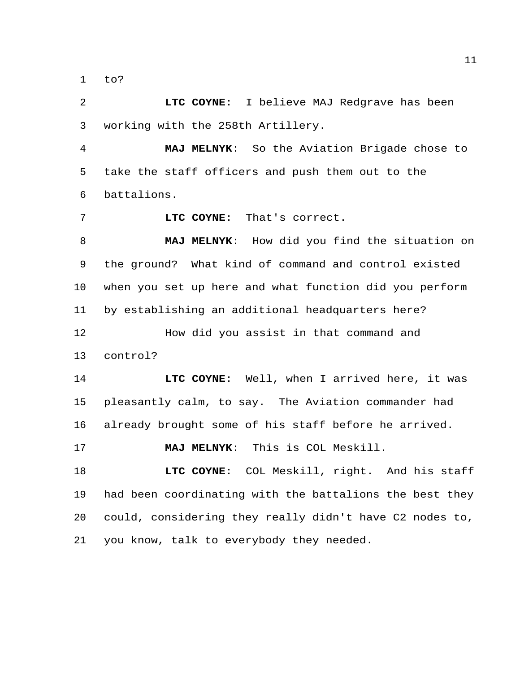to?

 **LTC COYNE**: I believe MAJ Redgrave has been working with the 258th Artillery.

 **MAJ MELNYK**: So the Aviation Brigade chose to take the staff officers and push them out to the battalions.

**LTC COYNE**: That's correct.

 **MAJ MELNYK**: How did you find the situation on the ground? What kind of command and control existed when you set up here and what function did you perform by establishing an additional headquarters here? How did you assist in that command and

control?

 **LTC COYNE**: Well, when I arrived here, it was pleasantly calm, to say. The Aviation commander had already brought some of his staff before he arrived.

**MAJ MELNYK**: This is COL Meskill.

 **LTC COYNE**: COL Meskill, right. And his staff had been coordinating with the battalions the best they could, considering they really didn't have C2 nodes to, you know, talk to everybody they needed.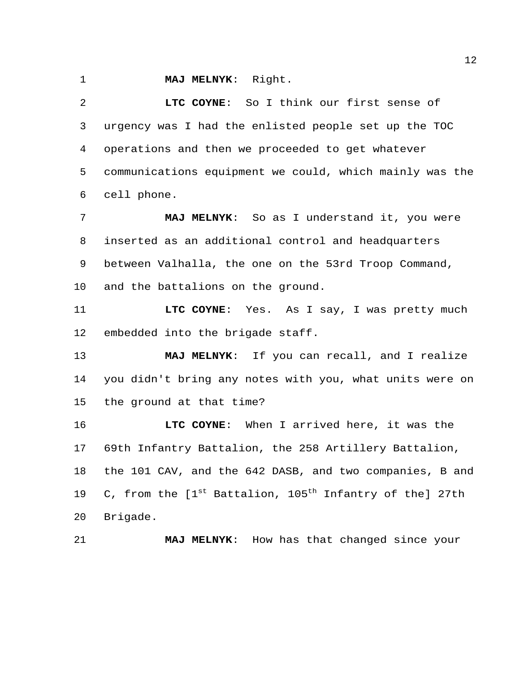**MAJ MELNYK**: Right.

 **LTC COYNE**: So I think our first sense of urgency was I had the enlisted people set up the TOC operations and then we proceeded to get whatever communications equipment we could, which mainly was the cell phone.

 **MAJ MELNYK**: So as I understand it, you were inserted as an additional control and headquarters between Valhalla, the one on the 53rd Troop Command, and the battalions on the ground.

 **LTC COYNE**: Yes. As I say, I was pretty much embedded into the brigade staff.

 **MAJ MELNYK**: If you can recall, and I realize you didn't bring any notes with you, what units were on the ground at that time?

 **LTC COYNE**: When I arrived here, it was the 69th Infantry Battalion, the 258 Artillery Battalion, the 101 CAV, and the 642 DASB, and two companies, B and 19 C, from the  $[1<sup>st</sup>$  Battalion, 105<sup>th</sup> Infantry of the] 27th Brigade.

**MAJ MELNYK**: How has that changed since your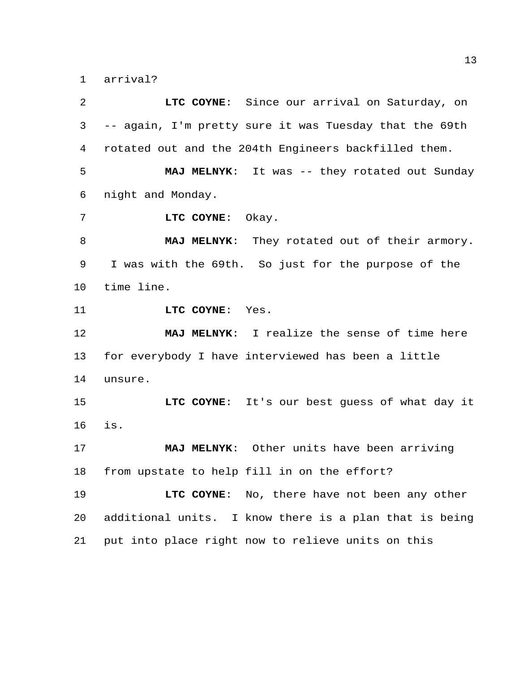arrival?

 **LTC COYNE**: Since our arrival on Saturday, on -- again, I'm pretty sure it was Tuesday that the 69th rotated out and the 204th Engineers backfilled them. **MAJ MELNYK**: It was -- they rotated out Sunday night and Monday. **LTC COYNE**: Okay. **MAJ MELNYK**: They rotated out of their armory. I was with the 69th. So just for the purpose of the time line. **LTC COYNE**: Yes. **MAJ MELNYK**: I realize the sense of time here for everybody I have interviewed has been a little unsure. **LTC COYNE**: It's our best guess of what day it is. **MAJ MELNYK**: Other units have been arriving from upstate to help fill in on the effort? **LTC COYNE**: No, there have not been any other additional units. I know there is a plan that is being put into place right now to relieve units on this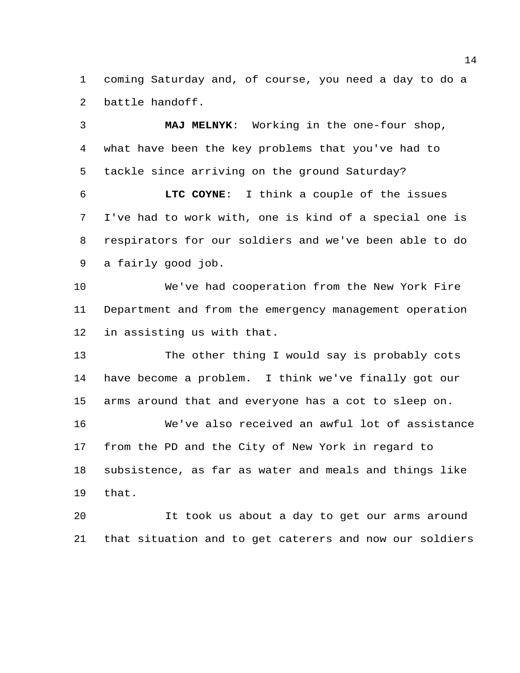coming Saturday and, of course, you need a day to do a battle handoff.

 **MAJ MELNYK**: Working in the one-four shop, what have been the key problems that you've had to tackle since arriving on the ground Saturday?

 **LTC COYNE**: I think a couple of the issues I've had to work with, one is kind of a special one is respirators for our soldiers and we've been able to do a fairly good job.

 We've had cooperation from the New York Fire Department and from the emergency management operation in assisting us with that.

 The other thing I would say is probably cots have become a problem. I think we've finally got our arms around that and everyone has a cot to sleep on. We've also received an awful lot of assistance from the PD and the City of New York in regard to subsistence, as far as water and meals and things like that.

 It took us about a day to get our arms around that situation and to get caterers and now our soldiers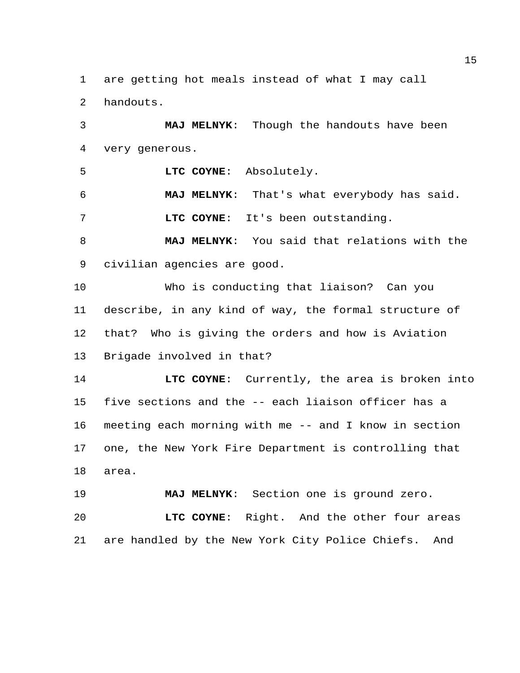are getting hot meals instead of what I may call

handouts.

 **MAJ MELNYK**: Though the handouts have been very generous.

**LTC COYNE**: Absolutely.

 **MAJ MELNYK**: That's what everybody has said. **LTC COYNE**: It's been outstanding.

 **MAJ MELNYK**: You said that relations with the civilian agencies are good.

 Who is conducting that liaison? Can you describe, in any kind of way, the formal structure of that? Who is giving the orders and how is Aviation Brigade involved in that?

 **LTC COYNE**: Currently, the area is broken into five sections and the -- each liaison officer has a meeting each morning with me -- and I know in section one, the New York Fire Department is controlling that area.

**MAJ MELNYK**: Section one is ground zero.

 **LTC COYNE**: Right. And the other four areas are handled by the New York City Police Chiefs. And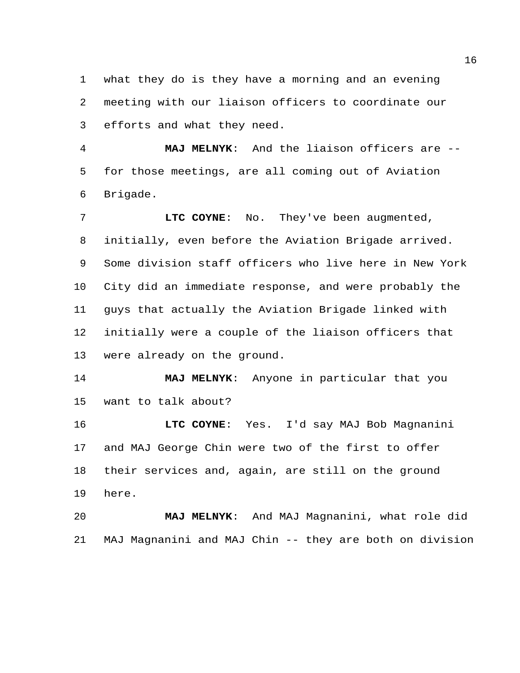what they do is they have a morning and an evening meeting with our liaison officers to coordinate our efforts and what they need.

 **MAJ MELNYK**: And the liaison officers are -- for those meetings, are all coming out of Aviation Brigade.

 **LTC COYNE**: No. They've been augmented, initially, even before the Aviation Brigade arrived. Some division staff officers who live here in New York City did an immediate response, and were probably the guys that actually the Aviation Brigade linked with initially were a couple of the liaison officers that were already on the ground.

 **MAJ MELNYK**: Anyone in particular that you want to talk about?

 **LTC COYNE**: Yes. I'd say MAJ Bob Magnanini and MAJ George Chin were two of the first to offer their services and, again, are still on the ground here.

 **MAJ MELNYK**: And MAJ Magnanini, what role did MAJ Magnanini and MAJ Chin -- they are both on division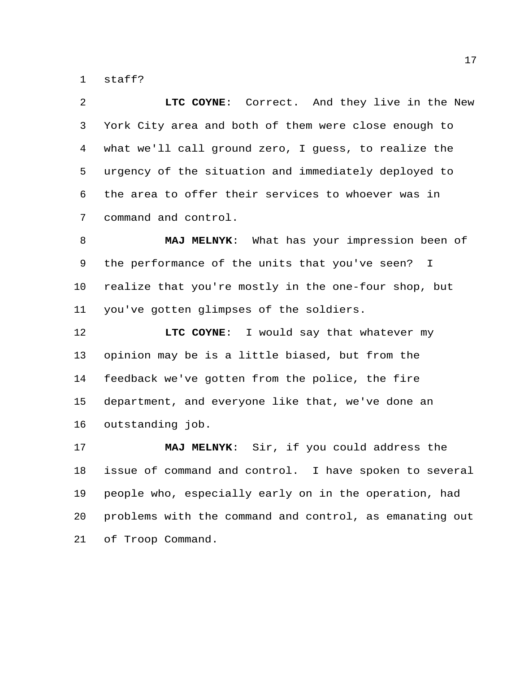staff?

 **LTC COYNE**: Correct. And they live in the New York City area and both of them were close enough to what we'll call ground zero, I guess, to realize the urgency of the situation and immediately deployed to the area to offer their services to whoever was in command and control.

 **MAJ MELNYK**: What has your impression been of the performance of the units that you've seen? I realize that you're mostly in the one-four shop, but you've gotten glimpses of the soldiers.

**LTC COYNE:** I would say that whatever my opinion may be is a little biased, but from the feedback we've gotten from the police, the fire department, and everyone like that, we've done an outstanding job.

 **MAJ MELNYK**: Sir, if you could address the issue of command and control. I have spoken to several people who, especially early on in the operation, had problems with the command and control, as emanating out of Troop Command.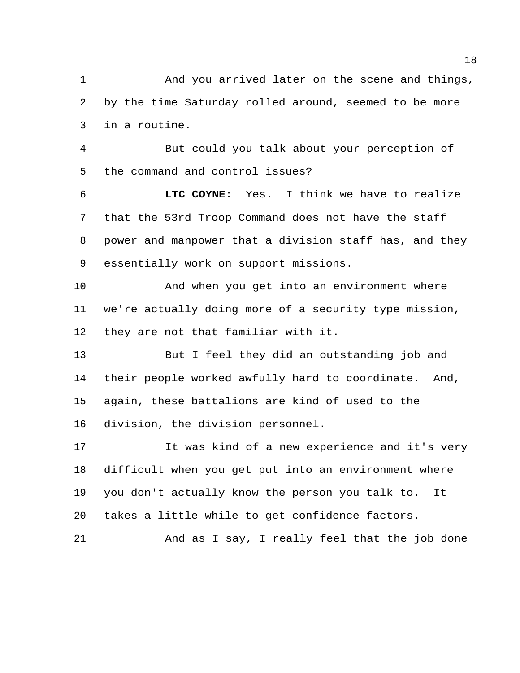And you arrived later on the scene and things, by the time Saturday rolled around, seemed to be more in a routine.

 But could you talk about your perception of the command and control issues?

 **LTC COYNE**: Yes. I think we have to realize that the 53rd Troop Command does not have the staff power and manpower that a division staff has, and they essentially work on support missions.

 And when you get into an environment where we're actually doing more of a security type mission, they are not that familiar with it.

 But I feel they did an outstanding job and their people worked awfully hard to coordinate. And, again, these battalions are kind of used to the division, the division personnel.

 It was kind of a new experience and it's very difficult when you get put into an environment where you don't actually know the person you talk to. It takes a little while to get confidence factors.

And as I say, I really feel that the job done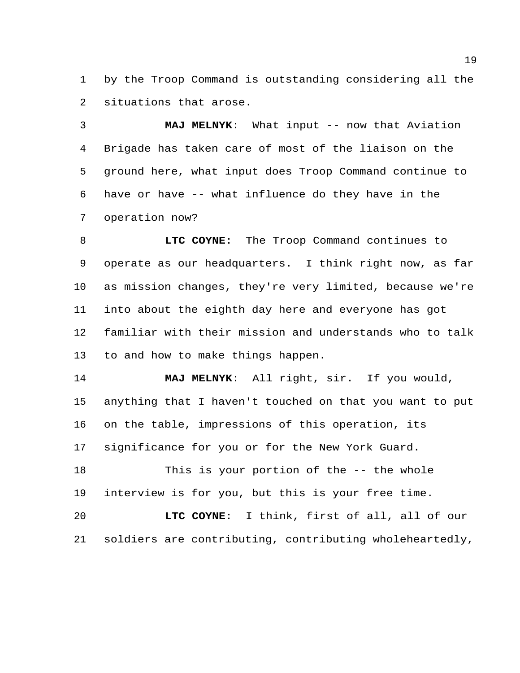by the Troop Command is outstanding considering all the situations that arose.

 **MAJ MELNYK**: What input -- now that Aviation Brigade has taken care of most of the liaison on the ground here, what input does Troop Command continue to have or have -- what influence do they have in the operation now?

 **LTC COYNE**: The Troop Command continues to operate as our headquarters. I think right now, as far as mission changes, they're very limited, because we're into about the eighth day here and everyone has got familiar with their mission and understands who to talk to and how to make things happen.

 **MAJ MELNYK**: All right, sir. If you would, anything that I haven't touched on that you want to put on the table, impressions of this operation, its significance for you or for the New York Guard.

 This is your portion of the -- the whole interview is for you, but this is your free time.

 **LTC COYNE**: I think, first of all, all of our soldiers are contributing, contributing wholeheartedly,